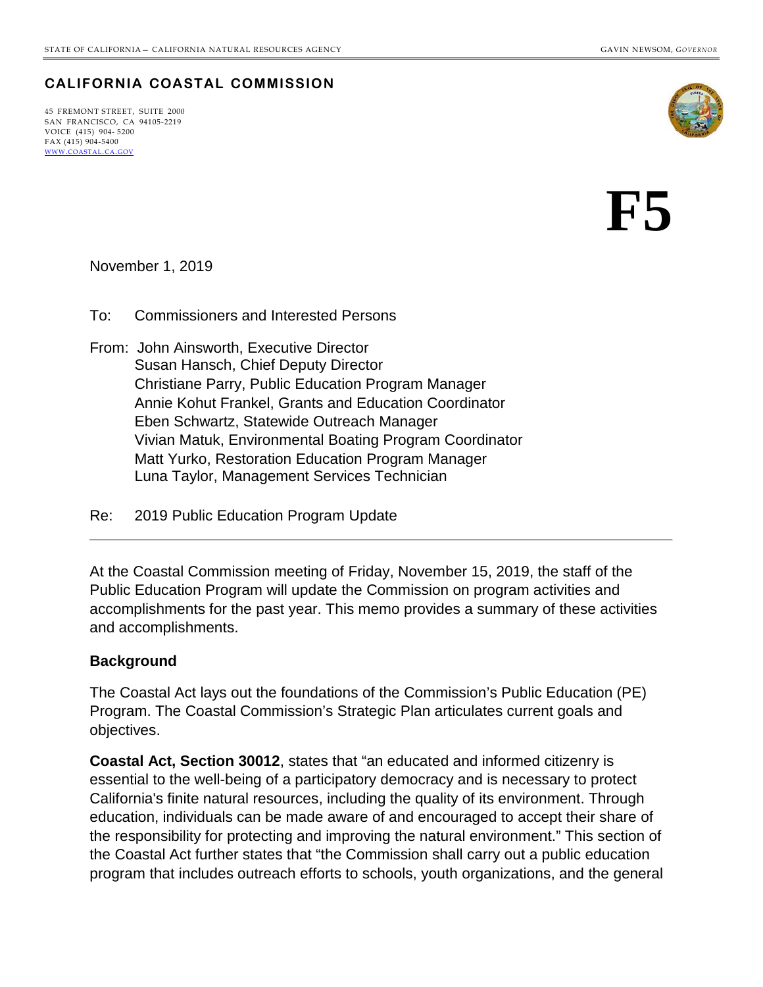### **CALIFORNIA COASTAL COMMISSION**

45 FREMONT STREET, SUITE 2000 SAN FRANCISCO, CA 94105-2219 VOICE (415) 904- 5200  $FAX (415) 904 - 5400$ [WWW.COASTAL.CA.GOV](http://www.coastal.ca.gov/)



# **F5**

November 1, 2019

To: Commissioners and Interested Persons

- From: John Ainsworth, Executive Director Susan Hansch, Chief Deputy Director Christiane Parry, Public Education Program Manager Annie Kohut Frankel, Grants and Education Coordinator Eben Schwartz, Statewide Outreach Manager Vivian Matuk, Environmental Boating Program Coordinator Matt Yurko, Restoration Education Program Manager Luna Taylor, Management Services Technician
- Re: 2019 Public Education Program Update

At the Coastal Commission meeting of Friday, November 15, 2019, the staff of the Public Education Program will update the Commission on program activities and accomplishments for the past year. This memo provides a summary of these activities and accomplishments.

### **Background**

The Coastal Act lays out the foundations of the Commission's Public Education (PE) Program. The Coastal Commission's Strategic Plan articulates current goals and objectives.

**Coastal Act, Section 30012**, states that "an educated and informed citizenry is essential to the well-being of a participatory democracy and is necessary to protect California's finite natural resources, including the quality of its environment. Through education, individuals can be made aware of and encouraged to accept their share of the responsibility for protecting and improving the natural environment." This section of the Coastal Act further states that "the Commission shall carry out a public education program that includes outreach efforts to schools, youth organizations, and the general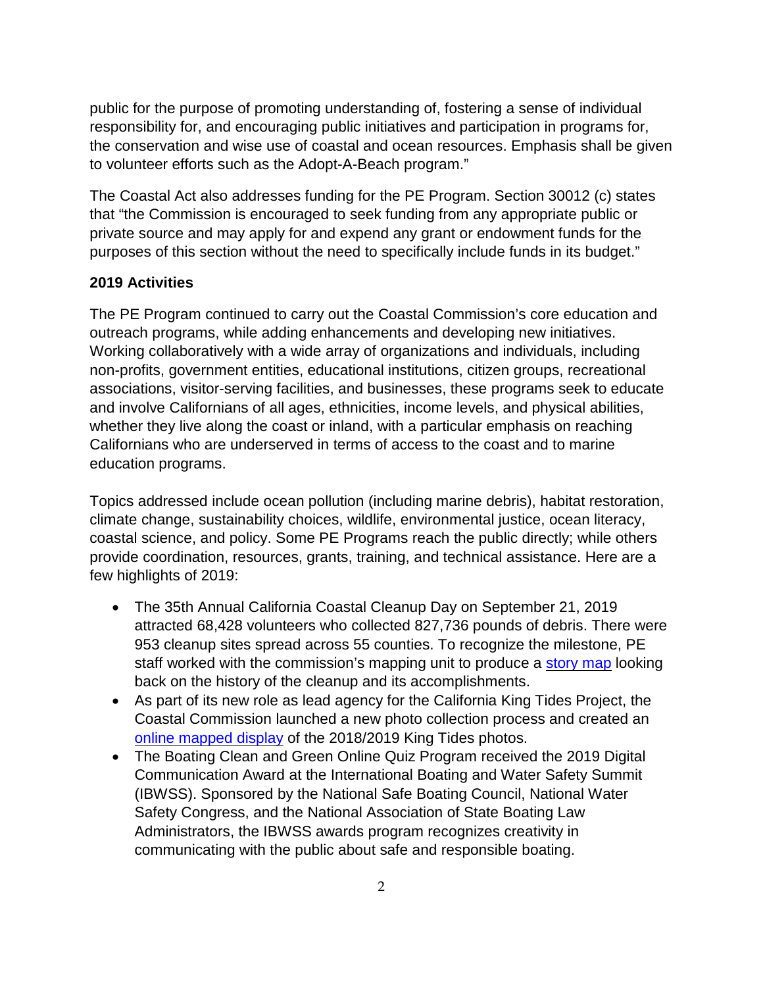public for the purpose of promoting understanding of, fostering a sense of individual responsibility for, and encouraging public initiatives and participation in programs for, the conservation and wise use of coastal and ocean resources. Emphasis shall be given to volunteer efforts such as the Adopt-A-Beach program."

The Coastal Act also addresses funding for the PE Program. Section 30012 (c) states that "the Commission is encouraged to seek funding from any appropriate public or private source and may apply for and expend any grant or endowment funds for the purposes of this section without the need to specifically include funds in its budget."

### **2019 Activities**

The PE Program continued to carry out the Coastal Commission's core education and outreach programs, while adding enhancements and developing new initiatives. Working collaboratively with a wide array of organizations and individuals, including non-profits, government entities, educational institutions, citizen groups, recreational associations, visitor-serving facilities, and businesses, these programs seek to educate and involve Californians of all ages, ethnicities, income levels, and physical abilities, whether they live along the coast or inland, with a particular emphasis on reaching Californians who are underserved in terms of access to the coast and to marine education programs.

Topics addressed include ocean pollution (including marine debris), habitat restoration, climate change, sustainability choices, wildlife, environmental justice, ocean literacy, coastal science, and policy. Some PE Programs reach the public directly; while others provide coordination, resources, grants, training, and technical assistance. Here are a few highlights of 2019:

- The 35th Annual California Coastal Cleanup Day on September 21, 2019 attracted 68,428 volunteers who collected 827,736 pounds of debris. There were 953 cleanup sites spread across 55 counties. To recognize the milestone, PE staff worked with the commission's mapping unit to produce a [story](https://coastalcomm.maps.arcgis.com/apps/Cascade/index.html?appid=de6a98eb91a24bd3ab51826f5e8eb7d2) map looking back on the history of the cleanup and its accomplishments.
- As part of its new role as lead agency for the California King Tides Project, the Coastal Commission launched a new photo collection process and created an online [mapped](https://coastalcomm.maps.arcgis.com/apps/MapSeries/index.html?appid=5e77d399c4204a59afe895ff3b91b5e0) display of the 2018/2019 King Tides photos.
- The Boating Clean and Green Online Quiz Program received the 2019 Digital Communication Award at the International Boating and Water Safety Summit (IBWSS). Sponsored by the National Safe Boating Council, National Water Safety Congress, and the National Association of State Boating Law Administrators, the IBWSS awards program recognizes creativity in communicating with the public about safe and responsible boating.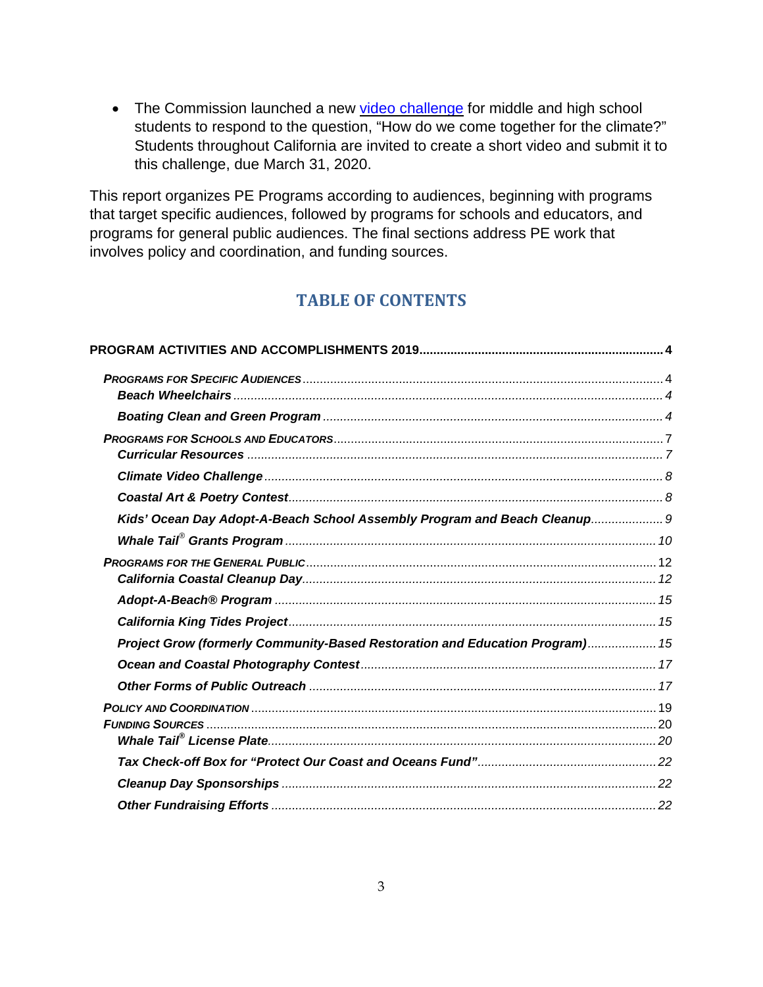• The Commission launched a new video [challenge](https://www.coastal.ca.gov/climatechallenge/) for middle and high school students to respond to the question, "How do we come together for the climate?" Students throughout California are invited to create a short video and submit it to this challenge, due March 31, 2020.

This report organizes PE Programs according to audiences, beginning with programs that target specific audiences, followed by programs for schools and educators, and programs for general public audiences. The final sections address PE work that involves policy and coordination, and funding sources.

## **TABLE OF CONTENTS**

| Kids' Ocean Day Adopt-A-Beach School Assembly Program and Beach Cleanup 9    |  |
|------------------------------------------------------------------------------|--|
|                                                                              |  |
|                                                                              |  |
|                                                                              |  |
|                                                                              |  |
| Project Grow (formerly Community-Based Restoration and Education Program) 15 |  |
|                                                                              |  |
|                                                                              |  |
|                                                                              |  |
|                                                                              |  |
|                                                                              |  |
|                                                                              |  |
|                                                                              |  |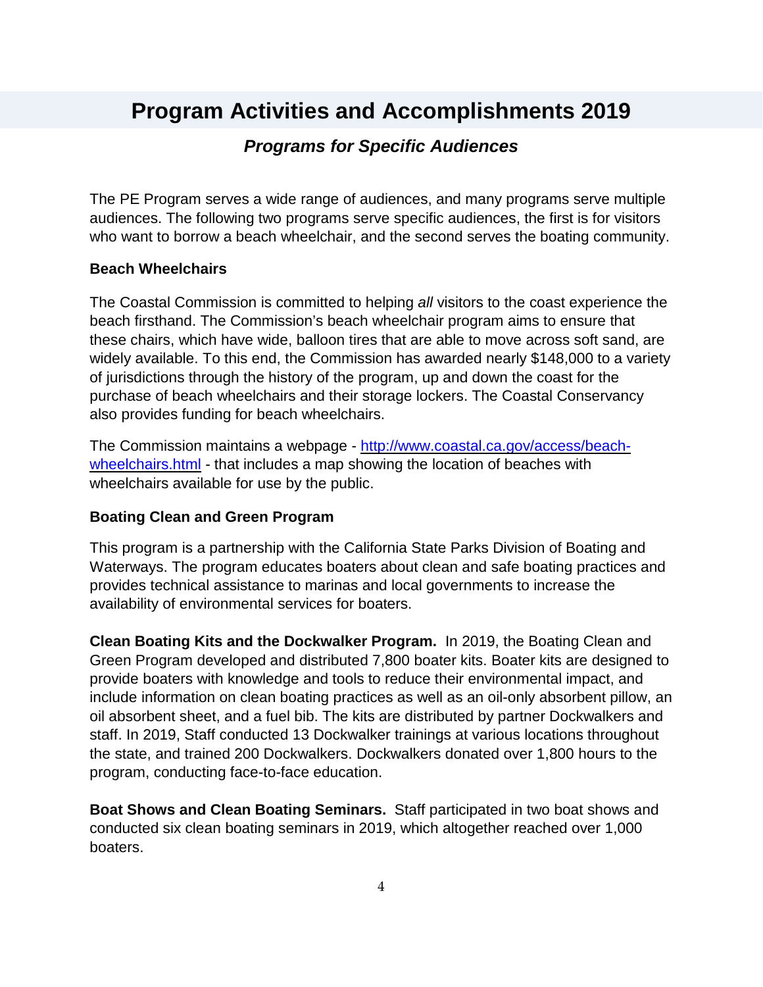# <span id="page-3-1"></span><span id="page-3-0"></span>**Program Activities and Accomplishments 2019**

### *Programs for Specific Audiences*

The PE Program serves a wide range of audiences, and many programs serve multiple audiences. The following two programs serve specific audiences, the first is for visitors who want to borrow a beach wheelchair, and the second serves the boating community.

#### <span id="page-3-2"></span>**Beach Wheelchairs**

The Coastal Commission is committed to helping *all* visitors to the coast experience the beach firsthand. The Commission's beach wheelchair program aims to ensure that these chairs, which have wide, balloon tires that are able to move across soft sand, are widely available. To this end, the Commission has awarded nearly \$148,000 to a variety of jurisdictions through the history of the program, up and down the coast for the purchase of beach wheelchairs and their storage lockers. The Coastal Conservancy also provides funding for beach wheelchairs.

The Commission maintains a webpage - [http://www.coastal.ca.gov/access/beach](http://www.coastal.ca.gov/access/beach-wheelchairs.html)[wheelchairs.html](http://www.coastal.ca.gov/access/beach-wheelchairs.html) - that includes a map showing the location of beaches with wheelchairs available for use by the public.

#### <span id="page-3-3"></span>**Boating Clean and Green Program**

This program is a partnership with the California State Parks Division of Boating and Waterways. The program educates boaters about clean and safe boating practices and provides technical assistance to marinas and local governments to increase the availability of environmental services for boaters.

**Clean Boating Kits and the Dockwalker Program.** In 2019, the Boating Clean and Green Program developed and distributed 7,800 boater kits. Boater kits are designed to provide boaters with knowledge and tools to reduce their environmental impact, and include information on clean boating practices as well as an oil-only absorbent pillow, an oil absorbent sheet, and a fuel bib. The kits are distributed by partner Dockwalkers and staff. In 2019, Staff conducted 13 Dockwalker trainings at various locations throughout the state, and trained 200 Dockwalkers. Dockwalkers donated over 1,800 hours to the program, conducting face-to-face education.

**Boat Shows and Clean Boating Seminars.** Staff participated in two boat shows and conducted six clean boating seminars in 2019, which altogether reached over 1,000 boaters.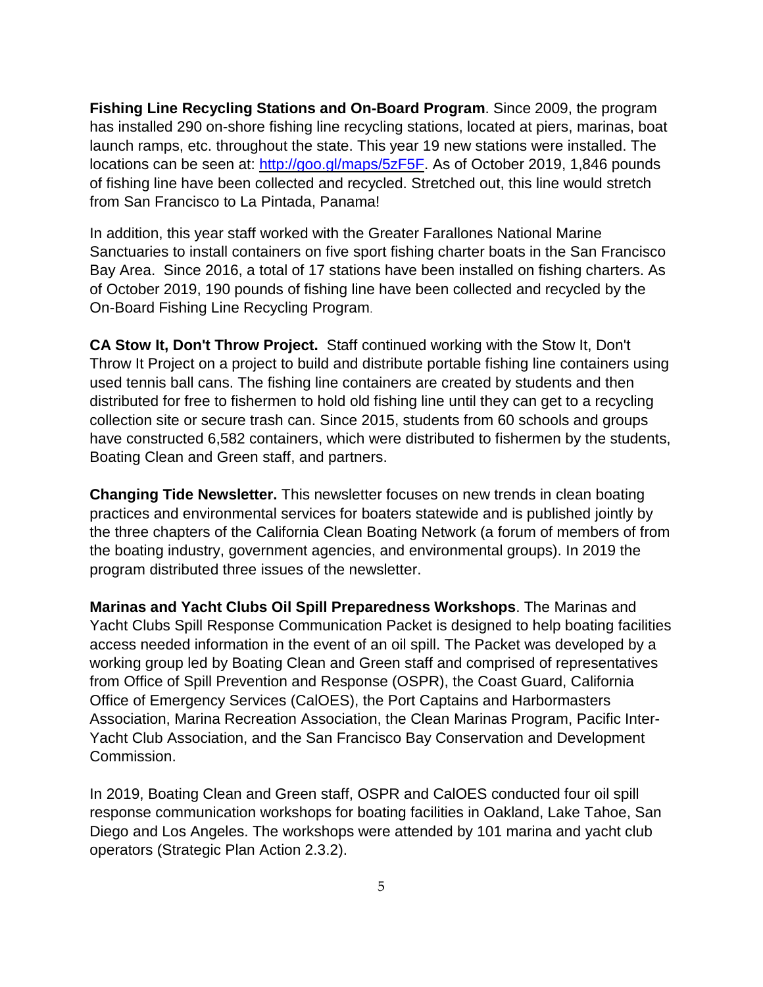**Fishing Line Recycling Stations and On-Board Program**. Since 2009, the program has installed 290 on-shore fishing line recycling stations, located at piers, marinas, boat launch ramps, etc. throughout the state. This year 19 new stations were installed. The locations can be seen at: [http://goo.gl/maps/5zF5F.](http://goo.gl/maps/5zF5F) As of October 2019, 1,846 pounds of fishing line have been collected and recycled. Stretched out, this line would stretch from San Francisco to La Pintada, Panama!

In addition, this year staff worked with the Greater Farallones National Marine Sanctuaries to install containers on five sport fishing charter boats in the San Francisco Bay Area. Since 2016, a total of 17 stations have been installed on fishing charters. As of October 2019, 190 pounds of fishing line have been collected and recycled by the On-Board Fishing Line Recycling Program.

**CA Stow It, Don't Throw Project.** Staff continued working with the Stow It, Don't Throw It Project on a project to build and distribute portable fishing line containers using used tennis ball cans. The fishing line containers are created by students and then distributed for free to fishermen to hold old fishing line until they can get to a recycling collection site or secure trash can. Since 2015, students from 60 schools and groups have constructed 6,582 containers, which were distributed to fishermen by the students, Boating Clean and Green staff, and partners.

**Changing Tide Newsletter.** This newsletter focuses on new trends in clean boating practices and environmental services for boaters statewide and is published jointly by the three chapters of the California Clean Boating Network (a forum of members of from the boating industry, government agencies, and environmental groups). In 2019 the program distributed three issues of the newsletter.

**Marinas and Yacht Clubs Oil Spill Preparedness Workshops**. The Marinas and Yacht Clubs Spill Response Communication Packet is designed to help boating facilities access needed information in the event of an oil spill. The Packet was developed by a working group led by Boating Clean and Green staff and comprised of representatives from Office of Spill Prevention and Response (OSPR), the Coast Guard, California Office of Emergency Services (CalOES), the Port Captains and Harbormasters Association, Marina Recreation Association, the Clean Marinas Program, Pacific Inter-Yacht Club Association, and the San Francisco Bay Conservation and Development Commission.

In 2019, Boating Clean and Green staff, OSPR and CalOES conducted four oil spill response communication workshops for boating facilities in Oakland, Lake Tahoe, San Diego and Los Angeles. The workshops were attended by 101 marina and yacht club operators (Strategic Plan Action 2.3.2).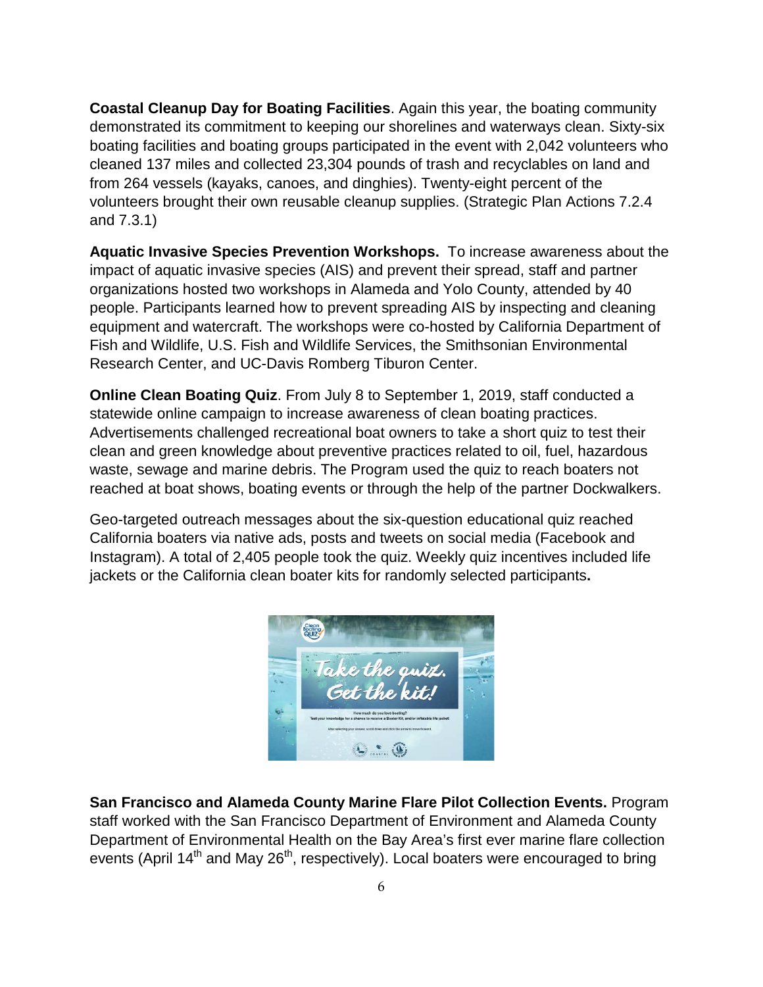**Coastal Cleanup Day for Boating Facilities**. Again this year, the boating community demonstrated its commitment to keeping our shorelines and waterways clean. Sixty-six boating facilities and boating groups participated in the event with 2,042 volunteers who cleaned 137 miles and collected 23,304 pounds of trash and recyclables on land and from 264 vessels (kayaks, canoes, and dinghies). Twenty-eight percent of the volunteers brought their own reusable cleanup supplies. (Strategic Plan Actions 7.2.4 and 7.3.1)

**Aquatic Invasive Species Prevention Workshops.** To increase awareness about the impact of aquatic invasive species (AIS) and prevent their spread, staff and partner organizations hosted two workshops in Alameda and Yolo County, attended by 40 people. Participants learned how to prevent spreading AIS by inspecting and cleaning equipment and watercraft. The workshops were co-hosted by California Department of Fish and Wildlife, U.S. Fish and Wildlife Services, the Smithsonian Environmental Research Center, and UC-Davis Romberg Tiburon Center.

**Online Clean Boating Quiz**. From July 8 to September 1, 2019, staff conducted a statewide online campaign to increase awareness of clean boating practices. Advertisements challenged recreational boat owners to take a short quiz to test their clean and green knowledge about preventive practices related to oil, fuel, hazardous waste, sewage and marine debris. The Program used the quiz to reach boaters not reached at boat shows, boating events or through the help of the partner Dockwalkers.

Geo-targeted outreach messages about the six-question educational quiz reached California boaters via native ads, posts and tweets on social media (Facebook and Instagram). A total of 2,405 people took the quiz. Weekly quiz incentives included life jackets or the California clean boater kits for randomly selected participants**.**



**San Francisco and Alameda County Marine Flare Pilot Collection Events.** Program staff worked with the San Francisco Department of Environment and Alameda County Department of Environmental Health on the Bay Area's first ever marine flare collection events (April  $14<sup>th</sup>$  and May 26<sup>th</sup>, respectively). Local boaters were encouraged to bring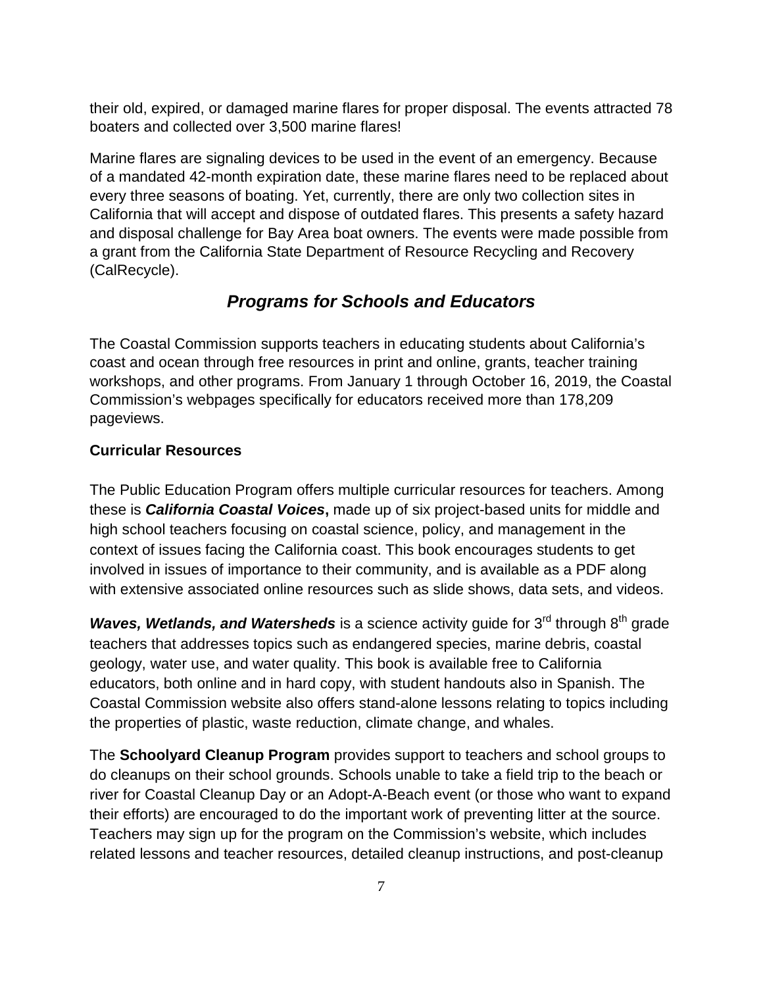their old, expired, or damaged marine flares for proper disposal. The events attracted 78 boaters and collected over 3,500 marine flares!

Marine flares are signaling devices to be used in the event of an emergency. Because of a mandated 42-month expiration date, these marine flares need to be replaced about every three seasons of boating. Yet, currently, there are only two collection sites in California that will accept and dispose of outdated flares. This presents a safety hazard and disposal challenge for Bay Area boat owners. The events were made possible from a grant from the California State Department of Resource Recycling and Recovery (CalRecycle).

# *Programs for Schools and Educators*

<span id="page-6-0"></span>The Coastal Commission supports teachers in educating students about California's coast and ocean through free resources in print and online, grants, teacher training workshops, and other programs. From January 1 through October 16, 2019, the Coastal Commission's webpages specifically for educators received more than 178,209 pageviews.

### <span id="page-6-1"></span>**Curricular Resources**

The Public Education Program offers multiple curricular resources for teachers. Among these is *California Coastal Voices***,** made up of six project-based units for middle and high school teachers focusing on coastal science, policy, and management in the context of issues facing the California coast. This book encourages students to get involved in issues of importance to their community, and is available as a PDF along with extensive associated online resources such as slide shows, data sets, and videos.

*Waves, Wetlands, and Watersheds* is a science activity guide for 3<sup>rd</sup> through 8<sup>th</sup> grade teachers that addresses topics such as endangered species, marine debris, coastal geology, water use, and water quality. This book is available free to California educators, both online and in hard copy, with student handouts also in Spanish. The Coastal Commission website also offers stand-alone lessons relating to topics including the properties of plastic, waste reduction, climate change, and whales.

The **Schoolyard Cleanup Program** provides support to teachers and school groups to do cleanups on their school grounds. Schools unable to take a field trip to the beach or river for Coastal Cleanup Day or an Adopt-A-Beach event (or those who want to expand their efforts) are encouraged to do the important work of preventing litter at the source. Teachers may sign up for the program on the Commission's website, which includes related lessons and teacher resources, detailed cleanup instructions, and post-cleanup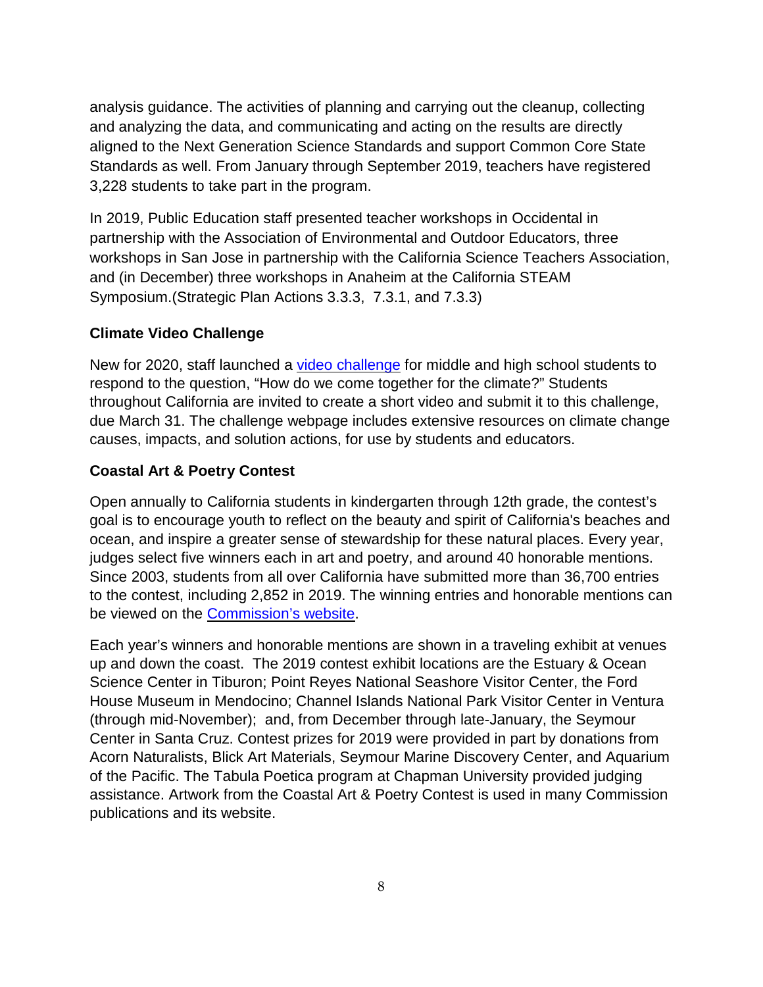analysis guidance. The activities of planning and carrying out the cleanup, collecting and analyzing the data, and communicating and acting on the results are directly aligned to the Next Generation Science Standards and support Common Core State Standards as well. From January through September 2019, teachers have registered 3,228 students to take part in the program.

In 2019, Public Education staff presented teacher workshops in Occidental in partnership with the Association of Environmental and Outdoor Educators, three workshops in San Jose in partnership with the California Science Teachers Association, and (in December) three workshops in Anaheim at the California STEAM Symposium.(Strategic Plan Actions 3.3.3, 7.3.1, and 7.3.3)

### <span id="page-7-0"></span>**Climate Video Challenge**

New for 2020, staff launched a video [challenge](https://www.coastal.ca.gov/climatechallenge/) for middle and high school students to respond to the question, "How do we come together for the climate?" Students throughout California are invited to create a short video and submit it to this challenge, due March 31. The challenge webpage includes extensive resources on climate change causes, impacts, and solution actions, for use by students and educators.

### <span id="page-7-1"></span>**Coastal Art & Poetry Contest**

Open annually to California students in kindergarten through 12th grade, the contest's goal is to encourage youth to reflect on the beauty and spirit of California's beaches and ocean, and inspire a greater sense of stewardship for these natural places. Every year, judges select five winners each in art and poetry, and around 40 honorable mentions. Since 2003, students from all over California have submitted more than 36,700 entries to the contest, including 2,852 in 2019. The winning entries and honorable mentions can be viewed on the [Commission's](https://www.coastal.ca.gov/publiced/poster/poster.html) website.

<span id="page-7-2"></span>Each year's winners and honorable mentions are shown in a traveling exhibit at venues up and down the coast. The 2019 contest exhibit locations are the Estuary & Ocean Science Center in Tiburon; Point Reyes National Seashore Visitor Center, the Ford House Museum in Mendocino; Channel Islands National Park Visitor Center in Ventura (through mid-November); and, from December through late-January, the Seymour Center in Santa Cruz. Contest prizes for 2019 were provided in part by donations from Acorn Naturalists, Blick Art Materials, Seymour Marine Discovery Center, and Aquarium of the Pacific. The Tabula Poetica program at Chapman University provided judging assistance. Artwork from the Coastal Art & Poetry Contest is used in many Commission publications and its website.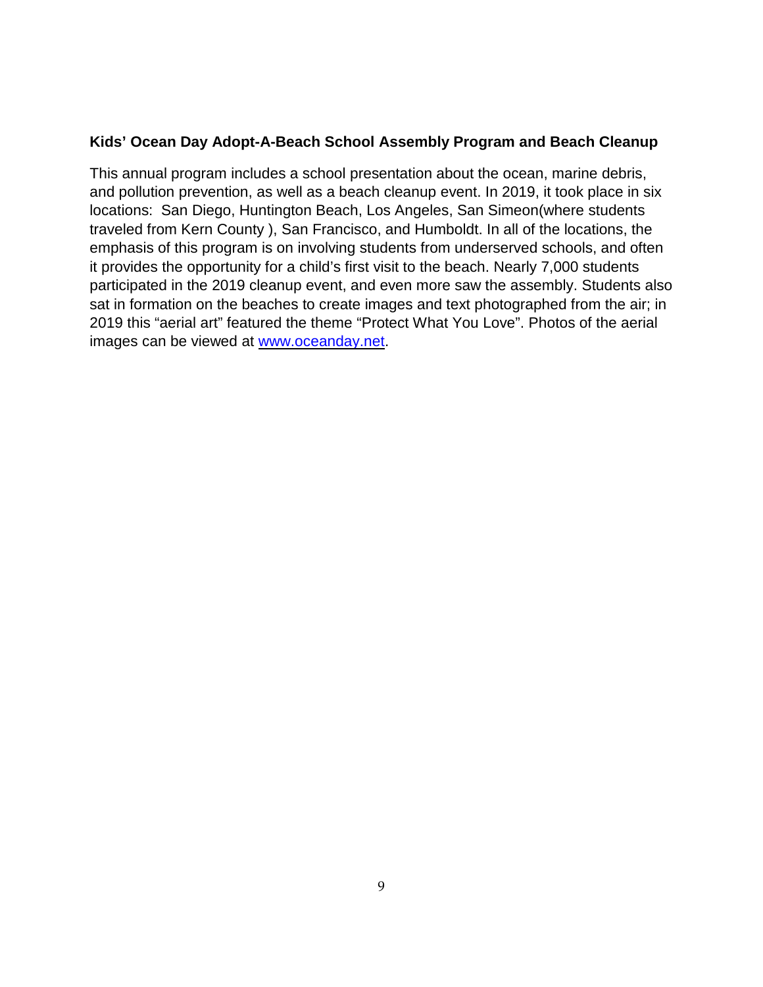### **Kids' Ocean Day Adopt-A-Beach School Assembly Program and Beach Cleanup**

This annual program includes a school presentation about the ocean, marine debris, and pollution prevention, as well as a beach cleanup event. In 2019, it took place in six locations: San Diego, Huntington Beach, Los Angeles, San Simeon(where students traveled from Kern County ), San Francisco, and Humboldt. In all of the locations, the emphasis of this program is on involving students from underserved schools, and often it provides the opportunity for a child's first visit to the beach. Nearly 7,000 students participated in the 2019 cleanup event, and even more saw the assembly. Students also sat in formation on the beaches to create images and text photographed from the air; in 2019 this "aerial art" featured the theme "Protect What You Love". Photos of the aerial images can be viewed at [www.oceanday.net.](http://www.oceanday.net/)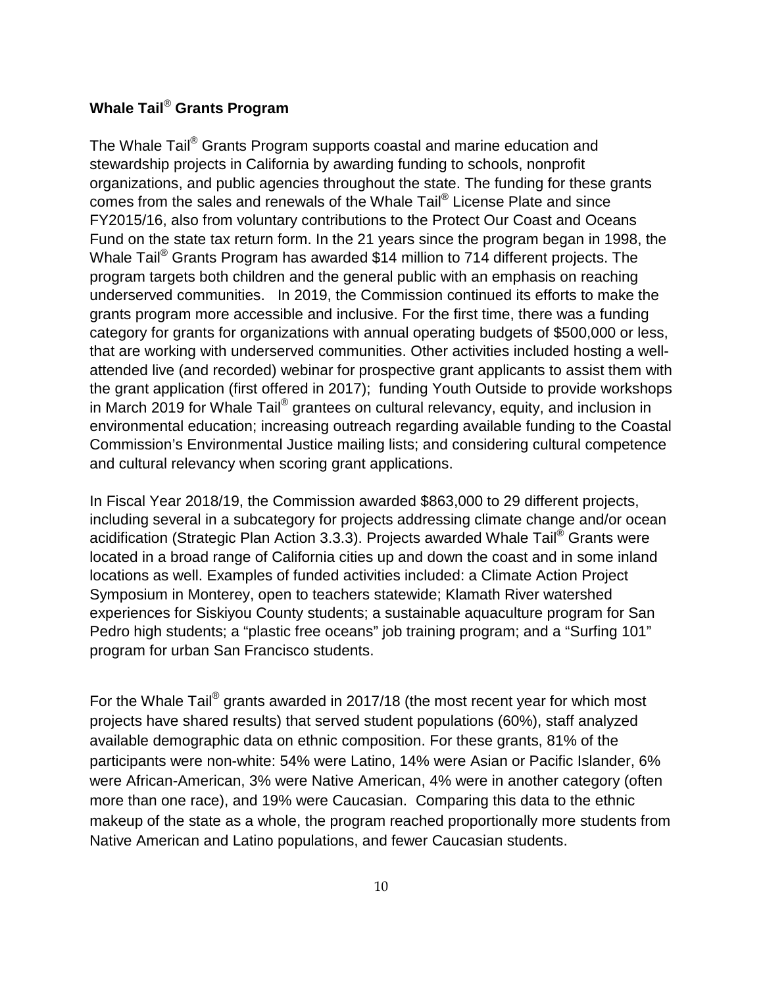### <span id="page-9-0"></span>**Whale Tail**® **Grants Program**

The Whale Tail® Grants Program supports coastal and marine education and stewardship projects in California by awarding funding to schools, nonprofit organizations, and public agencies throughout the state. The funding for these grants comes from the sales and renewals of the Whale Tail® License Plate and since FY2015/16, also from voluntary contributions to the Protect Our Coast and Oceans Fund on the state tax return form. In the 21 years since the program began in 1998, the Whale Tail<sup>®</sup> Grants Program has awarded \$14 million to 714 different projects. The program targets both children and the general public with an emphasis on reaching underserved communities. In 2019, the Commission continued its efforts to make the grants program more accessible and inclusive. For the first time, there was a funding category for grants for organizations with annual operating budgets of \$500,000 or less, that are working with underserved communities. Other activities included hosting a wellattended live (and recorded) webinar for prospective grant applicants to assist them with the grant application (first offered in 2017); funding Youth Outside to provide workshops in March 2019 for Whale Tail® grantees on cultural relevancy, equity, and inclusion in environmental education; increasing outreach regarding available funding to the Coastal Commission's Environmental Justice mailing lists; and considering cultural competence and cultural relevancy when scoring grant applications.

In Fiscal Year 2018/19, the Commission awarded \$863,000 to 29 different projects, including several in a subcategory for projects addressing climate change and/or ocean acidification (Strategic Plan Action 3.3.3). Projects awarded Whale Tail® Grants were located in a broad range of California cities up and down the coast and in some inland locations as well. Examples of funded activities included: a Climate Action Project Symposium in Monterey, open to teachers statewide; Klamath River watershed experiences for Siskiyou County students; a sustainable aquaculture program for San Pedro high students; a "plastic free oceans" job training program; and a "Surfing 101" program for urban San Francisco students.

For the Whale Tail<sup>®</sup> grants awarded in 2017/18 (the most recent year for which most projects have shared results) that served student populations (60%), staff analyzed available demographic data on ethnic composition. For these grants, 81% of the participants were non-white: 54% were Latino, 14% were Asian or Pacific Islander, 6% were African-American, 3% were Native American, 4% were in another category (often more than one race), and 19% were Caucasian. Comparing this data to the ethnic makeup of the state as a whole, the program reached proportionally more students from Native American and Latino populations, and fewer Caucasian students.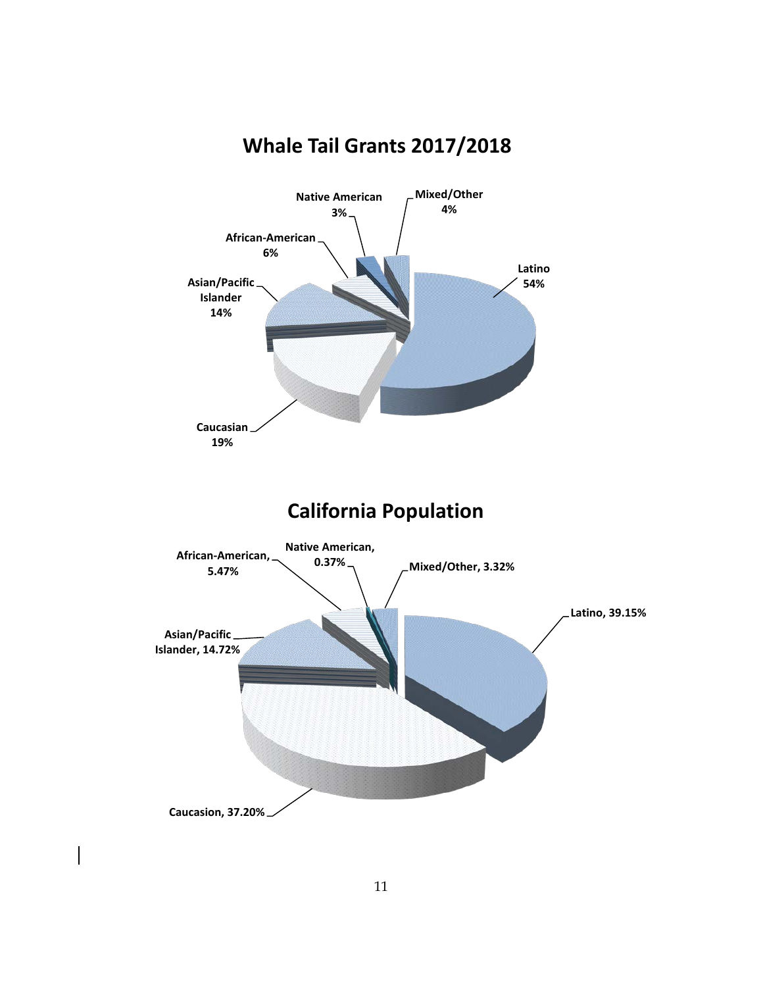

# **Whale Tail Grants 2017/2018**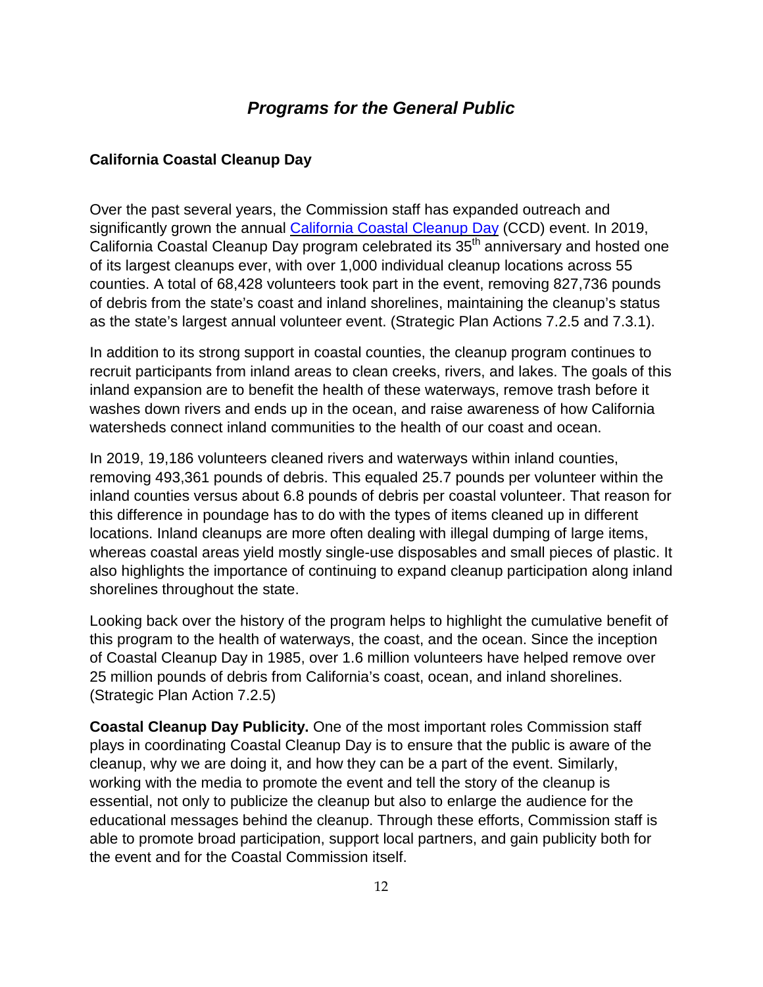## *Programs for the General Public*

### <span id="page-11-1"></span><span id="page-11-0"></span>**California Coastal Cleanup Day**

Over the past several years, the Commission staff has expanded outreach and significantly grown the annual [California](http://www.coastalcleanupday.org/) Coastal Cleanup Day (CCD) event. In 2019, California Coastal Cleanup Day program celebrated its 35<sup>th</sup> anniversary and hosted one of its largest cleanups ever, with over 1,000 individual cleanup locations across 55 counties. A total of 68,428 volunteers took part in the event, removing 827,736 pounds of debris from the state's coast and inland shorelines, maintaining the cleanup's status as the state's largest annual volunteer event. (Strategic Plan Actions 7.2.5 and 7.3.1).

In addition to its strong support in coastal counties, the cleanup program continues to recruit participants from inland areas to clean creeks, rivers, and lakes. The goals of this inland expansion are to benefit the health of these waterways, remove trash before it washes down rivers and ends up in the ocean, and raise awareness of how California watersheds connect inland communities to the health of our coast and ocean.

In 2019, 19,186 volunteers cleaned rivers and waterways within inland counties, removing 493,361 pounds of debris. This equaled 25.7 pounds per volunteer within the inland counties versus about 6.8 pounds of debris per coastal volunteer. That reason for this difference in poundage has to do with the types of items cleaned up in different locations. Inland cleanups are more often dealing with illegal dumping of large items, whereas coastal areas yield mostly single-use disposables and small pieces of plastic. It also highlights the importance of continuing to expand cleanup participation along inland shorelines throughout the state.

Looking back over the history of the program helps to highlight the cumulative benefit of this program to the health of waterways, the coast, and the ocean. Since the inception of Coastal Cleanup Day in 1985, over 1.6 million volunteers have helped remove over 25 million pounds of debris from California's coast, ocean, and inland shorelines. (Strategic Plan Action 7.2.5)

**Coastal Cleanup Day Publicity.** One of the most important roles Commission staff plays in coordinating Coastal Cleanup Day is to ensure that the public is aware of the cleanup, why we are doing it, and how they can be a part of the event. Similarly, working with the media to promote the event and tell the story of the cleanup is essential, not only to publicize the cleanup but also to enlarge the audience for the educational messages behind the cleanup. Through these efforts, Commission staff is able to promote broad participation, support local partners, and gain publicity both for the event and for the Coastal Commission itself.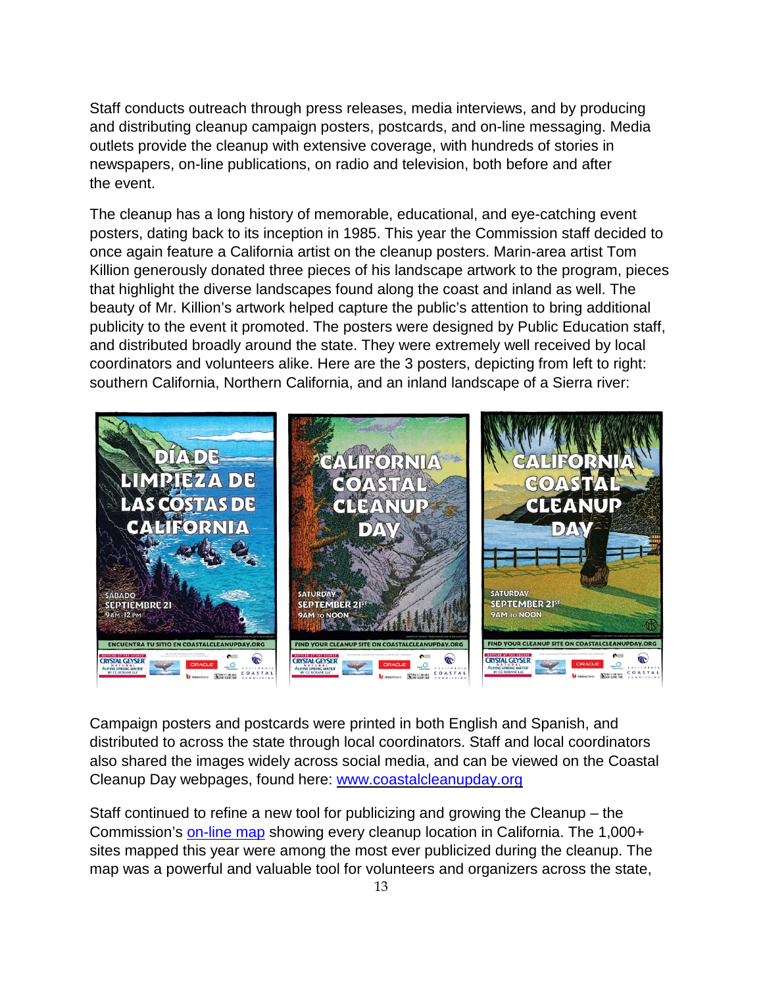Staff conducts outreach through press releases, media interviews, and by producing and distributing cleanup campaign posters, postcards, and on-line messaging. Media outlets provide the cleanup with extensive coverage, with hundreds of stories in newspapers, on-line publications, on radio and television, both before and after the event.

The cleanup has a long history of memorable, educational, and eye-catching event posters, dating back to its inception in 1985. This year the Commission staff decided to once again feature a California artist on the cleanup posters. Marin-area artist Tom Killion generously donated three pieces of his landscape artwork to the program, pieces that highlight the diverse landscapes found along the coast and inland as well. The beauty of Mr. Killion's artwork helped capture the public's attention to bring additional publicity to the event it promoted. The posters were designed by Public Education staff, and distributed broadly around the state. They were extremely well received by local coordinators and volunteers alike. Here are the 3 posters, depicting from left to right: southern California, Northern California, and an inland landscape of a Sierra river:



Campaign posters and postcards were printed in both English and Spanish, and distributed to across the state through local coordinators. Staff and local coordinators also shared the images widely across social media, and can be viewed on the Coastal Cleanup Day webpages, found here: [www.coastalcleanupday.org](http://www.coastalcleanupday.org/)

Staff continued to refine a new tool for publicizing and growing the Cleanup – the Commission's [on-line](https://www.coastal.ca.gov/publiced/ccd/ccd.html) map showing every cleanup location in California. The 1,000+ sites mapped this year were among the most ever publicized during the cleanup. The map was a powerful and valuable tool for volunteers and organizers across the state,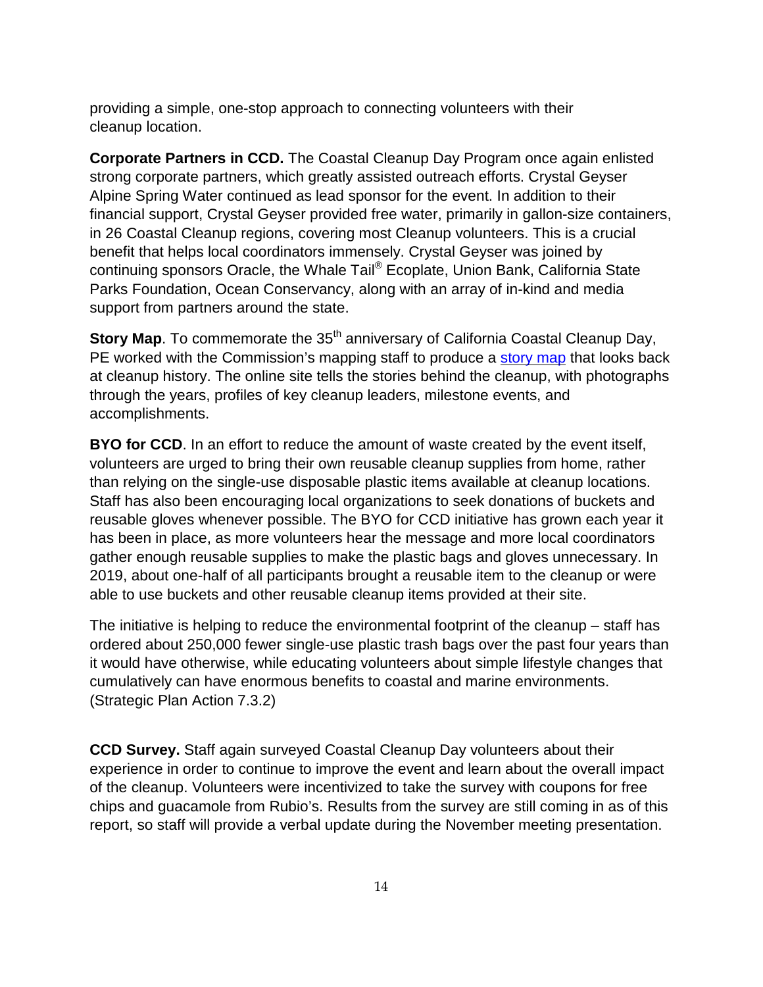providing a simple, one-stop approach to connecting volunteers with their cleanup location.

**Corporate Partners in CCD.** The Coastal Cleanup Day Program once again enlisted strong corporate partners, which greatly assisted outreach efforts. Crystal Geyser Alpine Spring Water continued as lead sponsor for the event. In addition to their financial support, Crystal Geyser provided free water, primarily in gallon-size containers, in 26 Coastal Cleanup regions, covering most Cleanup volunteers. This is a crucial benefit that helps local coordinators immensely. Crystal Geyser was joined by continuing sponsors Oracle, the Whale Tail® Ecoplate, Union Bank, California State Parks Foundation, Ocean Conservancy, along with an array of in-kind and media support from partners around the state.

**Story Map**. To commemorate the 35<sup>th</sup> anniversary of California Coastal Cleanup Day, PE worked with the Commission's mapping staff to produce a [story](https://coastalcomm.maps.arcgis.com/apps/Cascade/index.html?appid=de6a98eb91a24bd3ab51826f5e8eb7d2) map that looks back at cleanup history. The online site tells the stories behind the cleanup, with photographs through the years, profiles of key cleanup leaders, milestone events, and accomplishments.

**BYO for CCD**. In an effort to reduce the amount of waste created by the event itself, volunteers are urged to bring their own reusable cleanup supplies from home, rather than relying on the single-use disposable plastic items available at cleanup locations. Staff has also been encouraging local organizations to seek donations of buckets and reusable gloves whenever possible. The BYO for CCD initiative has grown each year it has been in place, as more volunteers hear the message and more local coordinators gather enough reusable supplies to make the plastic bags and gloves unnecessary. In 2019, about one-half of all participants brought a reusable item to the cleanup or were able to use buckets and other reusable cleanup items provided at their site.

The initiative is helping to reduce the environmental footprint of the cleanup – staff has ordered about 250,000 fewer single-use plastic trash bags over the past four years than it would have otherwise, while educating volunteers about simple lifestyle changes that cumulatively can have enormous benefits to coastal and marine environments. (Strategic Plan Action 7.3.2)

**CCD Survey.** Staff again surveyed Coastal Cleanup Day volunteers about their experience in order to continue to improve the event and learn about the overall impact of the cleanup. Volunteers were incentivized to take the survey with coupons for free chips and guacamole from Rubio's. Results from the survey are still coming in as of this report, so staff will provide a verbal update during the November meeting presentation.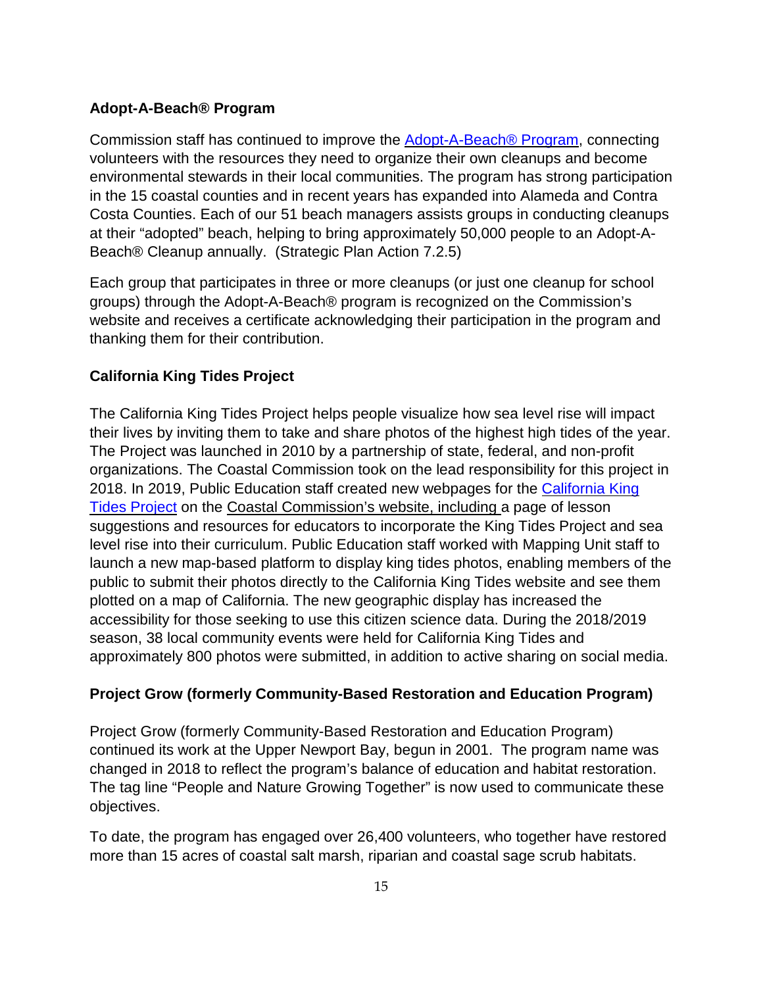### <span id="page-14-0"></span>**Adopt-A-Beach® Program**

Commission staff has continued to improve the [Adopt-A-Beach®](https://www.coastal.ca.gov/publiced/aab/aab1.html) Program, connecting volunteers with the resources they need to organize their own cleanups and become environmental stewards in their local communities. The program has strong participation in the 15 coastal counties and in recent years has expanded into Alameda and Contra Costa Counties. Each of our 51 beach managers assists groups in conducting cleanups at their "adopted" beach, helping to bring approximately 50,000 people to an Adopt-A-Beach® Cleanup annually. (Strategic Plan Action 7.2.5)

Each group that participates in three or more cleanups (or just one cleanup for school groups) through the Adopt-A-Beach® program is recognized on the Commission's website and receives a certificate acknowledging their participation in the program and thanking them for their contribution.

### <span id="page-14-1"></span>**California King Tides Project**

The California King Tides Project helps people visualize how sea level rise will impact their lives by inviting them to take and share photos of the highest high tides of the year. The Project was launched in 2010 by a partnership of state, federal, and non-profit organizations. The Coastal Commission took on the lead responsibility for this project in 2018. In 2019, Public Education staff created new webpages for the [California](https://www.coastal.ca.gov/kingtides/) King Tides [Project](https://www.coastal.ca.gov/kingtides/) on the Coastal [Commission's](https://www.coastal.ca.gov/kingtides/) website, including a page of lesson suggestions and resources for educators to incorporate the King Tides Project and sea level rise into their curriculum. Public Education staff worked with Mapping Unit staff to launch a new map-based platform to display king tides photos, enabling members of the public to submit their photos directly to the California King Tides website and see them plotted on a map of California. The new geographic display has increased the accessibility for those seeking to use this citizen science data. During the 2018/2019 season, 38 local community events were held for California King Tides and approximately 800 photos were submitted, in addition to active sharing on social media.

### <span id="page-14-2"></span>**Project Grow (formerly Community-Based Restoration and Education Program)**

Project Grow (formerly Community-Based Restoration and Education Program) continued its work at the Upper Newport Bay, begun in 2001. The program name was changed in 2018 to reflect the program's balance of education and habitat restoration. The tag line "People and Nature Growing Together" is now used to communicate these objectives.

To date, the program has engaged over 26,400 volunteers, who together have restored more than 15 acres of coastal salt marsh, riparian and coastal sage scrub habitats.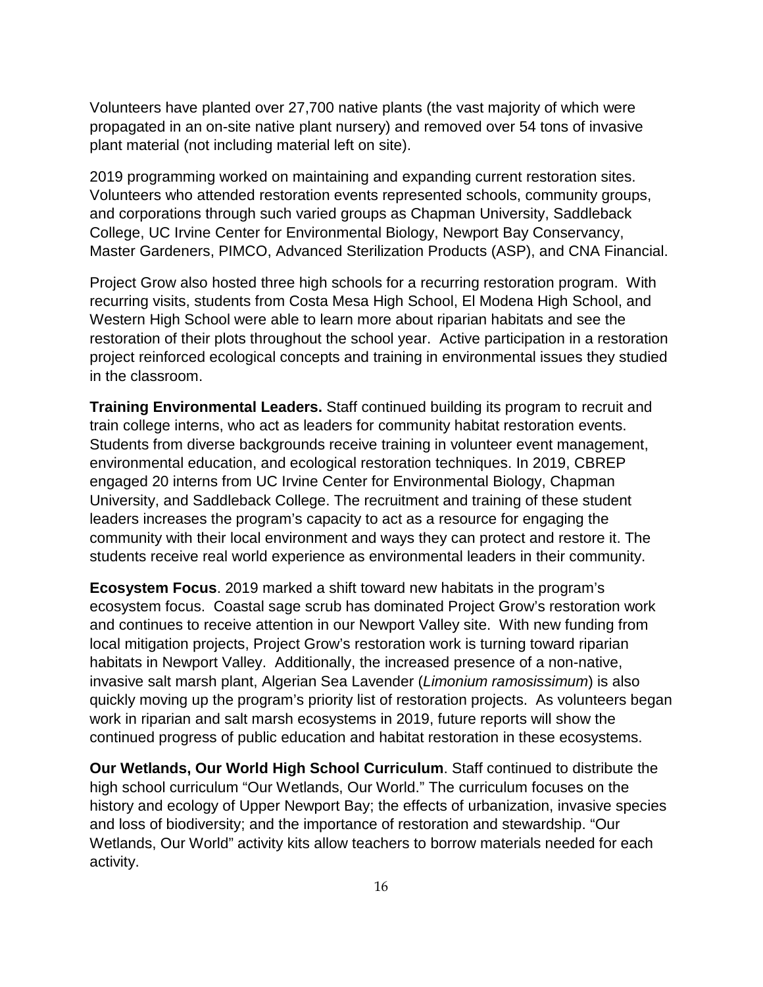Volunteers have planted over 27,700 native plants (the vast majority of which were propagated in an on-site native plant nursery) and removed over 54 tons of invasive plant material (not including material left on site).

2019 programming worked on maintaining and expanding current restoration sites. Volunteers who attended restoration events represented schools, community groups, and corporations through such varied groups as Chapman University, Saddleback College, UC Irvine Center for Environmental Biology, Newport Bay Conservancy, Master Gardeners, PIMCO, Advanced Sterilization Products (ASP), and CNA Financial.

Project Grow also hosted three high schools for a recurring restoration program. With recurring visits, students from Costa Mesa High School, El Modena High School, and Western High School were able to learn more about riparian habitats and see the restoration of their plots throughout the school year. Active participation in a restoration project reinforced ecological concepts and training in environmental issues they studied in the classroom.

**Training Environmental Leaders.** Staff continued building its program to recruit and train college interns, who act as leaders for community habitat restoration events. Students from diverse backgrounds receive training in volunteer event management, environmental education, and ecological restoration techniques. In 2019, CBREP engaged 20 interns from UC Irvine Center for Environmental Biology, Chapman University, and Saddleback College. The recruitment and training of these student leaders increases the program's capacity to act as a resource for engaging the community with their local environment and ways they can protect and restore it. The students receive real world experience as environmental leaders in their community.

**Ecosystem Focus**. 2019 marked a shift toward new habitats in the program's ecosystem focus. Coastal sage scrub has dominated Project Grow's restoration work and continues to receive attention in our Newport Valley site. With new funding from local mitigation projects, Project Grow's restoration work is turning toward riparian habitats in Newport Valley. Additionally, the increased presence of a non-native, invasive salt marsh plant, Algerian Sea Lavender (*Limonium ramosissimum*) is also quickly moving up the program's priority list of restoration projects. As volunteers began work in riparian and salt marsh ecosystems in 2019, future reports will show the continued progress of public education and habitat restoration in these ecosystems.

**Our Wetlands, Our World High School Curriculum**. Staff continued to distribute the high school curriculum "Our Wetlands, Our World." The curriculum focuses on the history and ecology of Upper Newport Bay; the effects of urbanization, invasive species and loss of biodiversity; and the importance of restoration and stewardship. "Our Wetlands, Our World" activity kits allow teachers to borrow materials needed for each activity.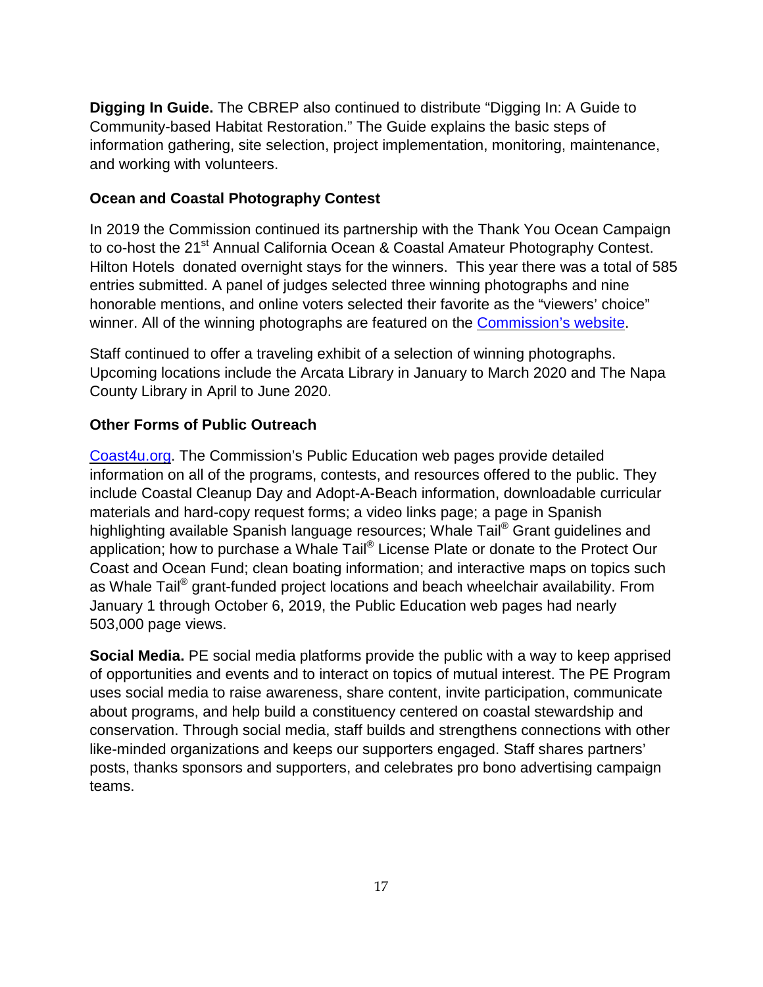**Digging In Guide.** The CBREP also continued to distribute "Digging In: A Guide to Community-based Habitat Restoration." The Guide explains the basic steps of information gathering, site selection, project implementation, monitoring, maintenance, and working with volunteers.

### <span id="page-16-0"></span>**Ocean and Coastal Photography Contest**

In 2019 the Commission continued its partnership with the Thank You Ocean Campaign to co-host the 21<sup>st</sup> Annual California Ocean & Coastal Amateur Photography Contest. Hilton Hotels donated overnight stays for the winners. This year there was a total of 585 entries submitted. A panel of judges selected three winning photographs and nine honorable mentions, and online voters selected their favorite as the "viewers' choice" winner. All of the winning photographs are featured on the [Commission's](https://www.coastal.ca.gov/publiced/photos/2019/gallery2019.html) website.

Staff continued to offer a traveling exhibit of a selection of winning photographs. Upcoming locations include the Arcata Library in January to March 2020 and The Napa County Library in April to June 2020.

### <span id="page-16-1"></span>**Other Forms of Public Outreach**

[Coast4u.org.](http://coast4u.org/) The Commission's Public Education web pages provide detailed information on all of the programs, contests, and resources offered to the public. They include Coastal Cleanup Day and Adopt-A-Beach information, downloadable curricular materials and hard-copy request forms; a video links page; a page in Spanish highlighting available Spanish language resources; Whale Tail® Grant guidelines and application; how to purchase a Whale Tail® License Plate or donate to the Protect Our Coast and Ocean Fund; clean boating information; and interactive maps on topics such as Whale Tail<sup>®</sup> grant-funded project locations and beach wheelchair availability. From January 1 through October 6, 2019, the Public Education web pages had nearly 503,000 page views.

**Social Media.** PE social media platforms provide the public with a way to keep apprised of opportunities and events and to interact on topics of mutual interest. The PE Program uses social media to raise awareness, share content, invite participation, communicate about programs, and help build a constituency centered on coastal stewardship and conservation. Through social media, staff builds and strengthens connections with other like-minded organizations and keeps our supporters engaged. Staff shares partners' posts, thanks sponsors and supporters, and celebrates pro bono advertising campaign teams.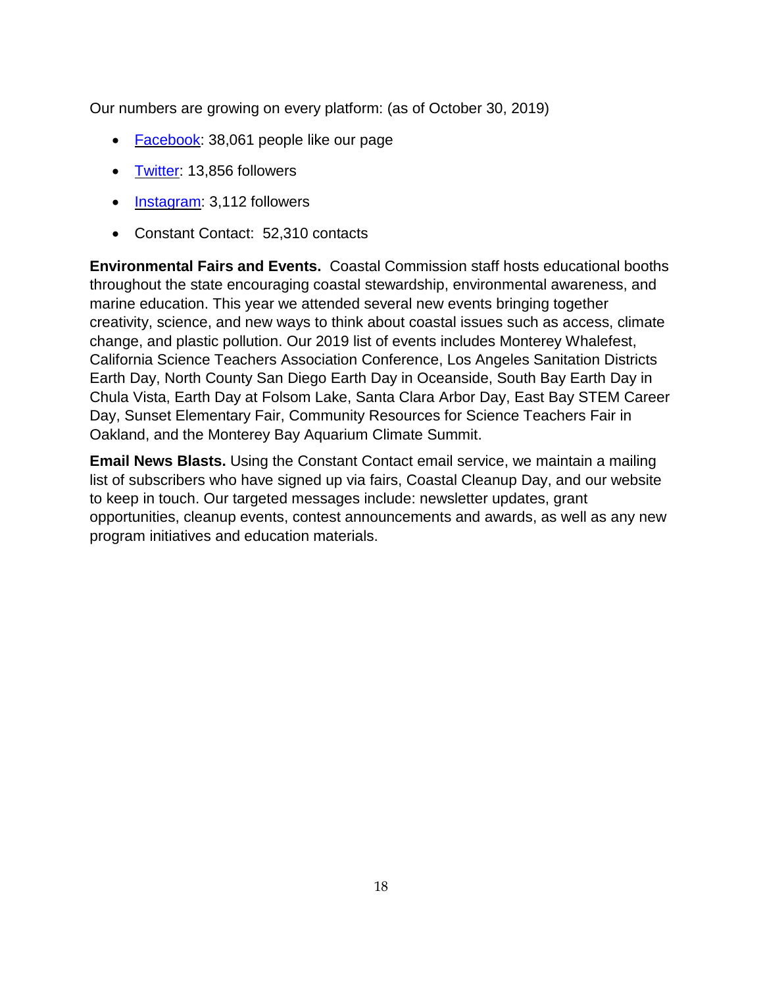Our numbers are growing on every platform: (as of October 30, 2019)

- [Facebook:](https://www.facebook.com/CaliforniaCoast/) 38,061 people like our page
- [Twitter:](https://twitter.com/TheCACoast) 13,856 followers
- [Instagram:](https://www.instagram.com/thecaliforniacoast/) 3,112 followers
- Constant Contact: 52,310 contacts

**Environmental Fairs and Events.** Coastal Commission staff hosts educational booths throughout the state encouraging coastal stewardship, environmental awareness, and marine education. This year we attended several new events bringing together creativity, science, and new ways to think about coastal issues such as access, climate change, and plastic pollution. Our 2019 list of events includes Monterey Whalefest, California Science Teachers Association Conference, Los Angeles Sanitation Districts Earth Day, North County San Diego Earth Day in Oceanside, South Bay Earth Day in Chula Vista, Earth Day at Folsom Lake, Santa Clara Arbor Day, East Bay STEM Career Day, Sunset Elementary Fair, Community Resources for Science Teachers Fair in Oakland, and the Monterey Bay Aquarium Climate Summit.

<span id="page-17-0"></span>**Email News Blasts.** Using the Constant Contact email service, we maintain a mailing list of subscribers who have signed up via fairs, Coastal Cleanup Day, and our website to keep in touch. Our targeted messages include: newsletter updates, grant opportunities, cleanup events, contest announcements and awards, as well as any new program initiatives and education materials.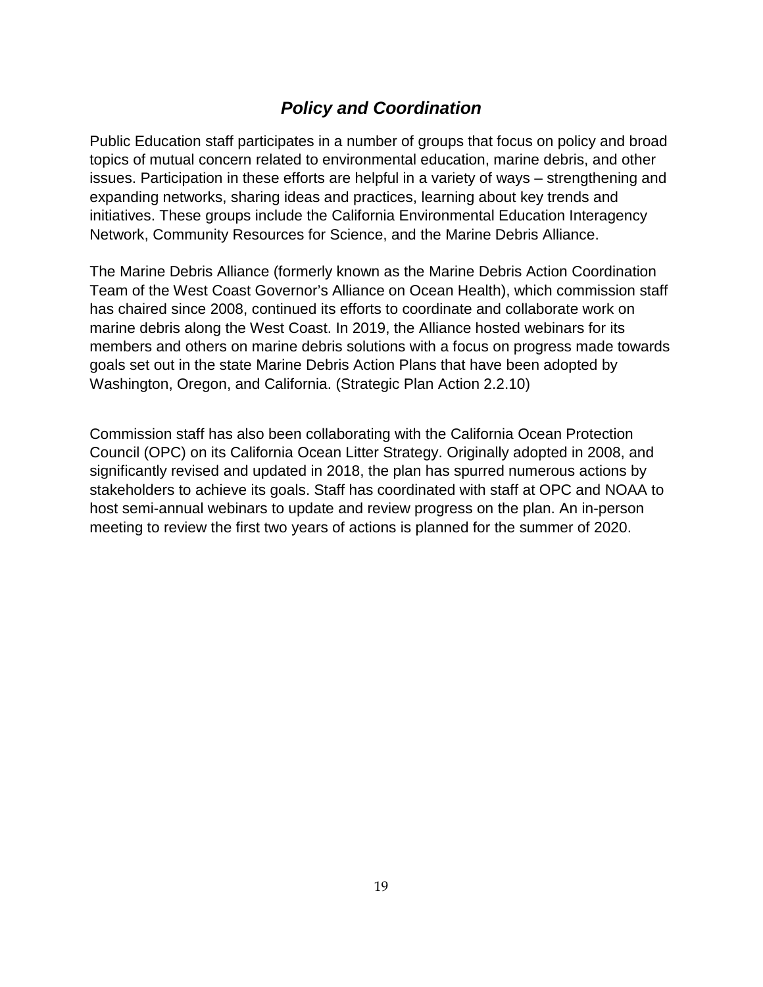# *Policy and Coordination*

Public Education staff participates in a number of groups that focus on policy and broad topics of mutual concern related to environmental education, marine debris, and other issues. Participation in these efforts are helpful in a variety of ways – strengthening and expanding networks, sharing ideas and practices, learning about key trends and initiatives. These groups include the California Environmental Education Interagency Network, Community Resources for Science, and the Marine Debris Alliance.

The Marine Debris Alliance (formerly known as the Marine Debris Action Coordination Team of the West Coast Governor's Alliance on Ocean Health), which commission staff has chaired since 2008, continued its efforts to coordinate and collaborate work on marine debris along the West Coast. In 2019, the Alliance hosted webinars for its members and others on marine debris solutions with a focus on progress made towards goals set out in the state Marine Debris Action Plans that have been adopted by Washington, Oregon, and California. (Strategic Plan Action 2.2.10)

<span id="page-18-0"></span>Commission staff has also been collaborating with the California Ocean Protection Council (OPC) on its California Ocean Litter Strategy. Originally adopted in 2008, and significantly revised and updated in 2018, the plan has spurred numerous actions by stakeholders to achieve its goals. Staff has coordinated with staff at OPC and NOAA to host semi-annual webinars to update and review progress on the plan. An in-person meeting to review the first two years of actions is planned for the summer of 2020.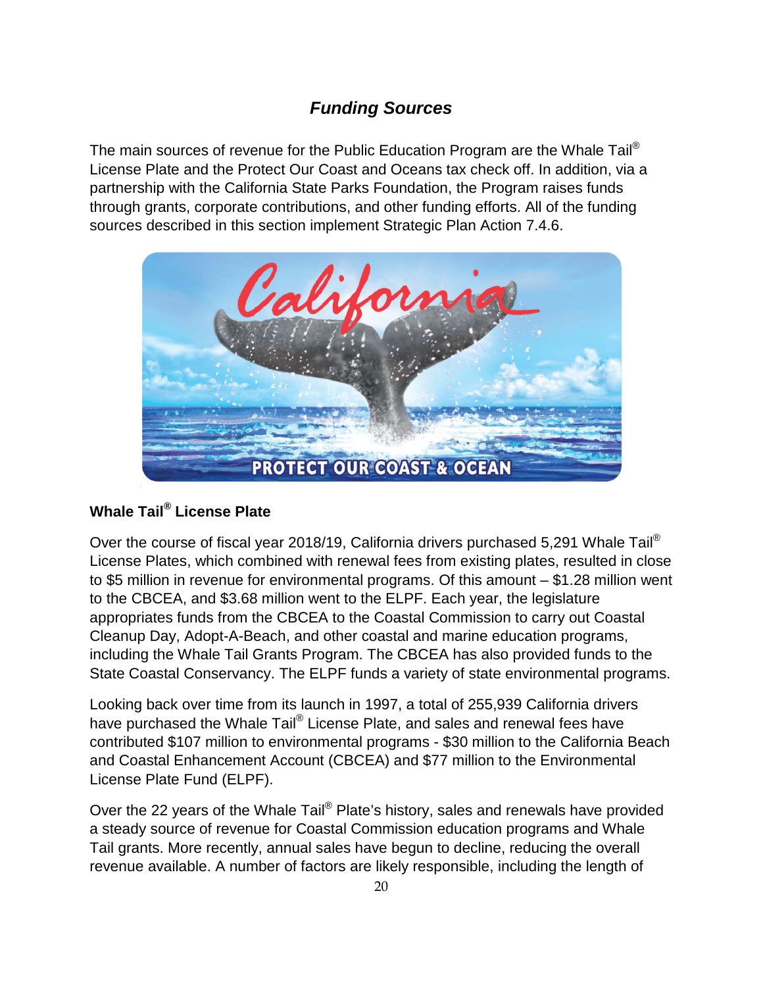# *Funding Sources*

The main sources of revenue for the Public Education Program are the Whale Tail<sup>®</sup> License Plate and the Protect Our Coast and Oceans tax check off. In addition, via a partnership with the California State Parks Foundation, the Program raises funds through grants, corporate contributions, and other funding efforts. All of the funding sources described in this section implement Strategic Plan Action 7.4.6.



### <span id="page-19-0"></span>**[Whale](http://www.ecoplates.com/home.php) Tail® License Plate**

Over the course of fiscal year 2018/19, California drivers purchased 5,291 [Whale](http://www.ecoplates.com/home.php) Tail<sup>®</sup> License Plates, which combined with renewal fees from existing plates, resulted in close to \$5 million in revenue for environmental programs. Of this amount – \$1.28 million went to the CBCEA, and \$3.68 million went to the ELPF. Each year, the legislature appropriates funds from the CBCEA to the Coastal Commission to carry out Coastal Cleanup Day, Adopt-A-Beach, and other coastal and marine education programs, including the Whale Tail Grants Program. The CBCEA has also provided funds to the State Coastal Conservancy. The ELPF funds a variety of state environmental programs.

Looking back over time from its launch in 1997, a total of 255,939 California drivers have purchased the [Whale](http://www.ecoplates.com/home.php) Tail® License Plate, and sales and renewal fees have contributed \$107 million to environmental programs - \$30 million to the California Beach and Coastal Enhancement Account (CBCEA) and \$77 million to the Environmental License Plate Fund (ELPF).

Over the 22 years of the Whale Tail® Plate's history, sales and renewals have provided a steady source of revenue for Coastal Commission education programs and Whale Tail grants. More recently, annual sales have begun to decline, reducing the overall revenue available. A number of factors are likely responsible, including the length of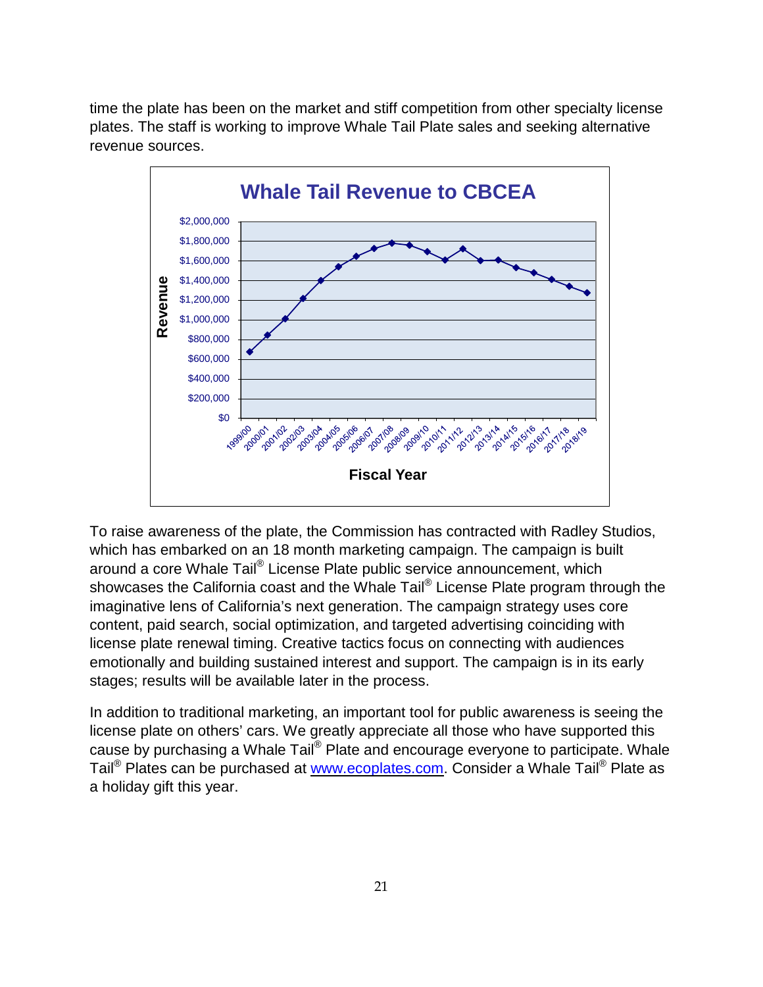time the plate has been on the market and stiff competition from other specialty license plates. The staff is working to improve Whale Tail Plate sales and seeking alternative revenue sources.



To raise awareness of the plate, the Commission has contracted with Radley Studios, which has embarked on an 18 month marketing campaign. The campaign is built around a core Whale Tail<sup>®</sup> License Plate public service [announcement,](https://www.youtube.com/watch?time_continue=1&v=EFpV-SzFGxk) which showcases the California coast and the Whale Tail<sup>®</sup> License Plate program through the imaginative lens of California's next generation. The campaign strategy uses core content, paid search, social optimization, and targeted advertising coinciding with license plate renewal timing. Creative tactics focus on connecting with audiences emotionally and building sustained interest and support. The campaign is in its early stages; results will be available later in the process.

In addition to traditional marketing, an important tool for public awareness is seeing the license plate on others' cars. We greatly appreciate all those who have supported this cause by purchasing a Whale Tail® Plate and encourage everyone to participate. Whale Tail<sup>®</sup> Plates can be purchased at www.ecoplates.com. Consider a Whale Tail<sup>®</sup> Plate as a holiday gift this year.